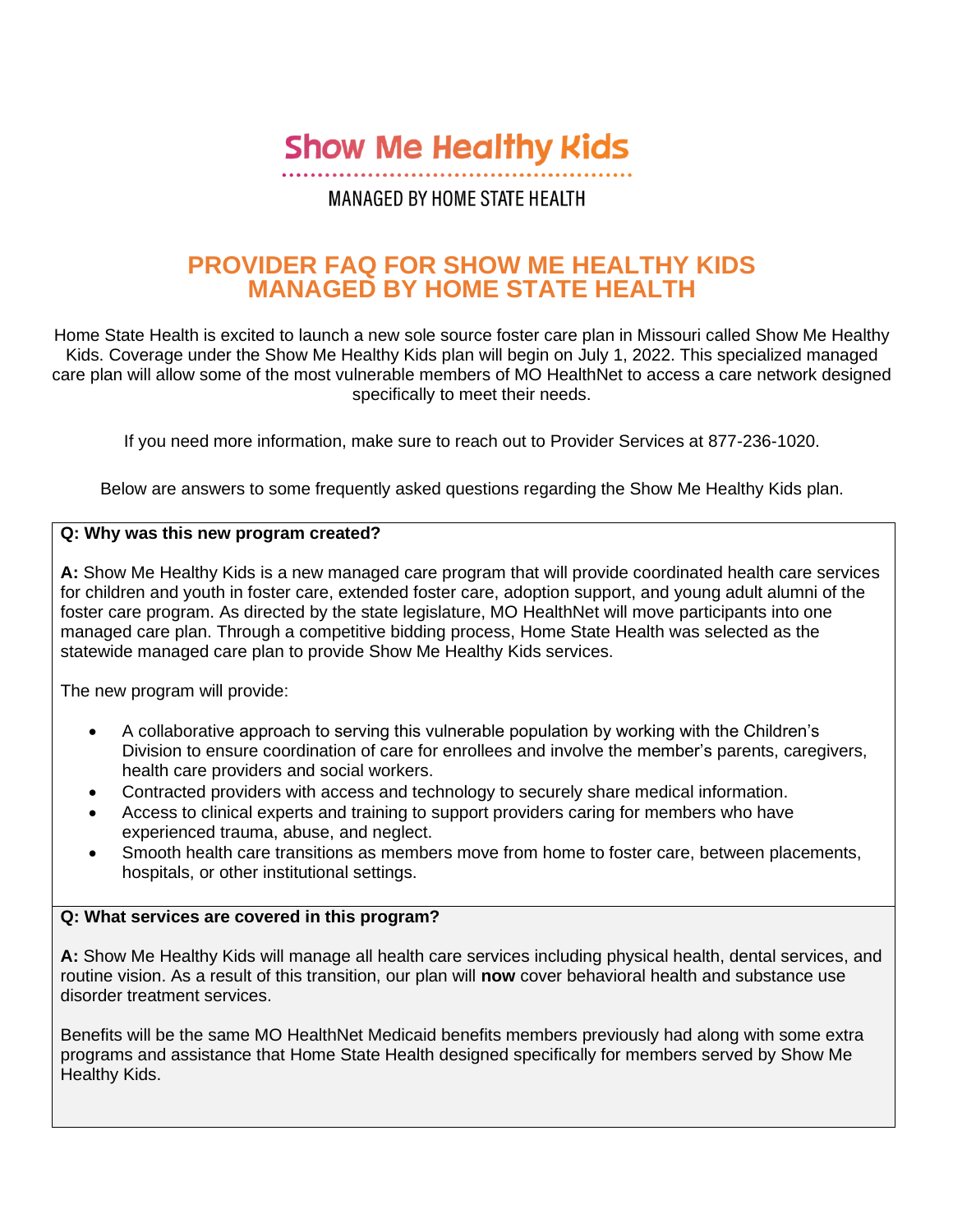**Show Me Healthy Kids** 

# **MANAGED BY HOME STATE HEALTH**

# **PROVIDER FAQ FOR SHOW ME HEALTHY KIDS MANAGED BY HOME STATE HEALTH**

Home State Health is excited to launch a new sole source foster care plan in Missouri called Show Me Healthy Kids. Coverage under the Show Me Healthy Kids plan will begin on July 1, 2022. This specialized managed care plan will allow some of the most vulnerable members of MO HealthNet to access a care network designed specifically to meet their needs.

If you need more information, make sure to reach out to Provider Services at 877-236-1020.

Below are answers to some frequently asked questions regarding the Show Me Healthy Kids plan.

## **Q: Why was this new program created?**

**A:** Show Me Healthy Kids is a new managed care program that will provide coordinated health care services for children and youth in foster care, extended foster care, adoption support, and young adult alumni of the foster care program. As directed by the state legislature, MO HealthNet will move participants into one managed care plan. Through a competitive bidding process, Home State Health was selected as the statewide managed care plan to provide Show Me Healthy Kids services.

The new program will provide:

- A collaborative approach to serving this vulnerable population by working with the Children's Division to ensure coordination of care for enrollees and involve the member's parents, caregivers, health care providers and social workers.
- Contracted providers with access and technology to securely share medical information.
- Access to clinical experts and training to support providers caring for members who have experienced trauma, abuse, and neglect.
- Smooth health care transitions as members move from home to foster care, between placements, hospitals, or other institutional settings.

#### **Q: What services are covered in this program?**

**A:** Show Me Healthy Kids will manage all health care services including physical health, dental services, and routine vision. As a result of this transition, our plan will **now** cover behavioral health and substance use disorder treatment services.

Benefits will be the same MO HealthNet Medicaid benefits members previously had along with some extra programs and assistance that Home State Health designed specifically for members served by Show Me Healthy Kids.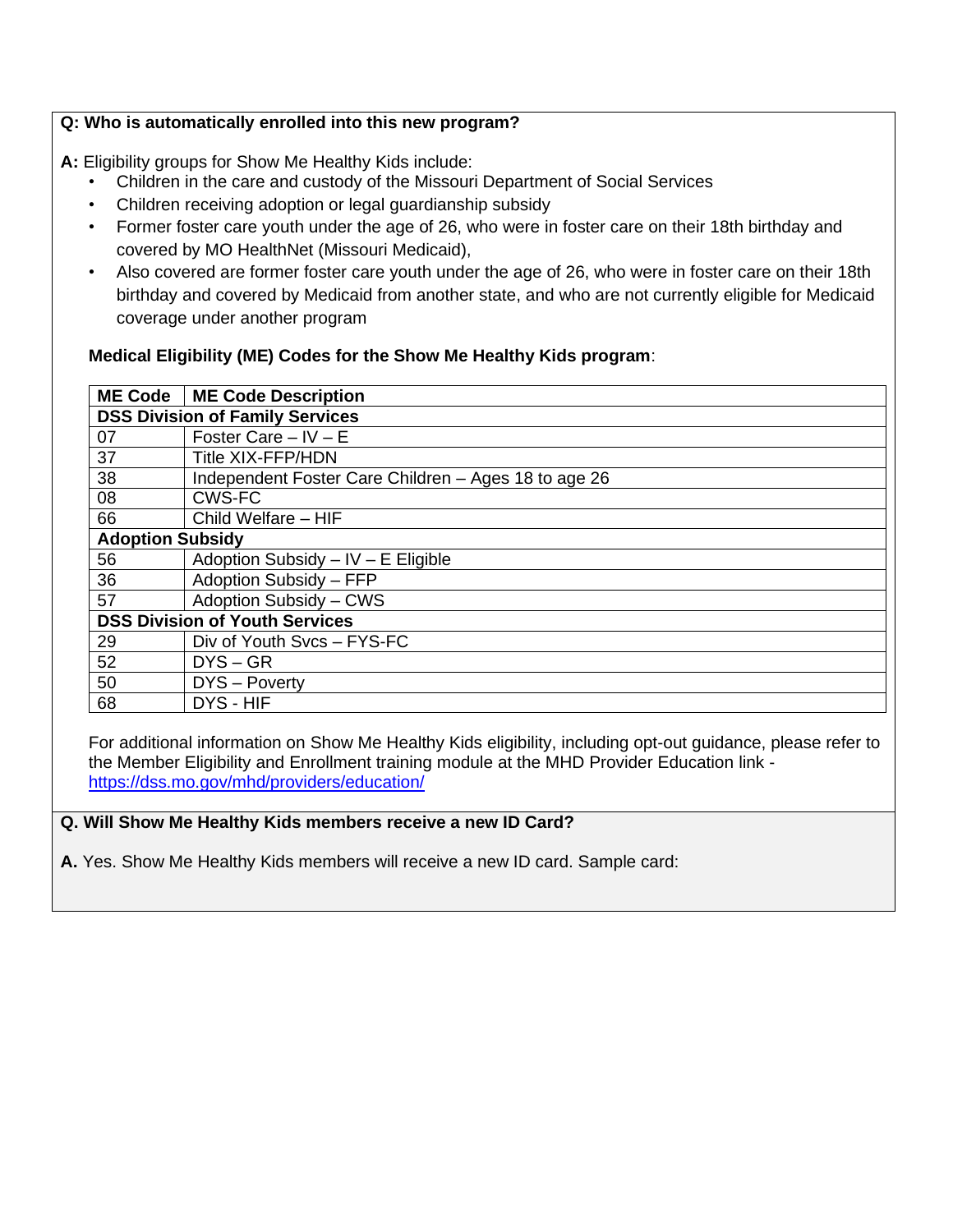## **Q: Who is automatically enrolled into this new program?**

**A:** Eligibility groups for Show Me Healthy Kids include:

- Children in the care and custody of the Missouri Department of Social Services
- Children receiving adoption or legal guardianship subsidy
- Former foster care youth under the age of 26, who were in foster care on their 18th birthday and covered by MO HealthNet (Missouri Medicaid),
- Also covered are former foster care youth under the age of 26, who were in foster care on their 18th birthday and covered by Medicaid from another state, and who are not currently eligible for Medicaid coverage under another program

## **Medical Eligibility (ME) Codes for the Show Me Healthy Kids program**:

| <b>ME Code</b>                         | <b>ME Code Description</b>                           |
|----------------------------------------|------------------------------------------------------|
| <b>DSS Division of Family Services</b> |                                                      |
| 07                                     | Foster Care $-$ IV $-$ E                             |
| 37                                     | <b>Title XIX-FFP/HDN</b>                             |
| 38                                     | Independent Foster Care Children - Ages 18 to age 26 |
| 08                                     | <b>CWS-FC</b>                                        |
| 66                                     | Child Welfare - HIF                                  |
| <b>Adoption Subsidy</b>                |                                                      |
| 56                                     | Adoption Subsidy $-$ IV $-$ E Eligible               |
| 36                                     | Adoption Subsidy - FFP                               |
| 57                                     | Adoption Subsidy - CWS                               |
| <b>DSS Division of Youth Services</b>  |                                                      |
| 29                                     | Div of Youth Svcs - FYS-FC                           |
| 52                                     | $DYS - GR$                                           |
| 50                                     | DYS - Poverty                                        |
| 68                                     | DYS - HIF                                            |

For additional information on Show Me Healthy Kids eligibility, including opt-out guidance, please refer to the Member Eligibility and Enrollment training module at the MHD Provider Education link <https://dss.mo.gov/mhd/providers/education/>

#### **Q. Will Show Me Healthy Kids members receive a new ID Card?**

**A.** Yes. Show Me Healthy Kids members will receive a new ID card. Sample card: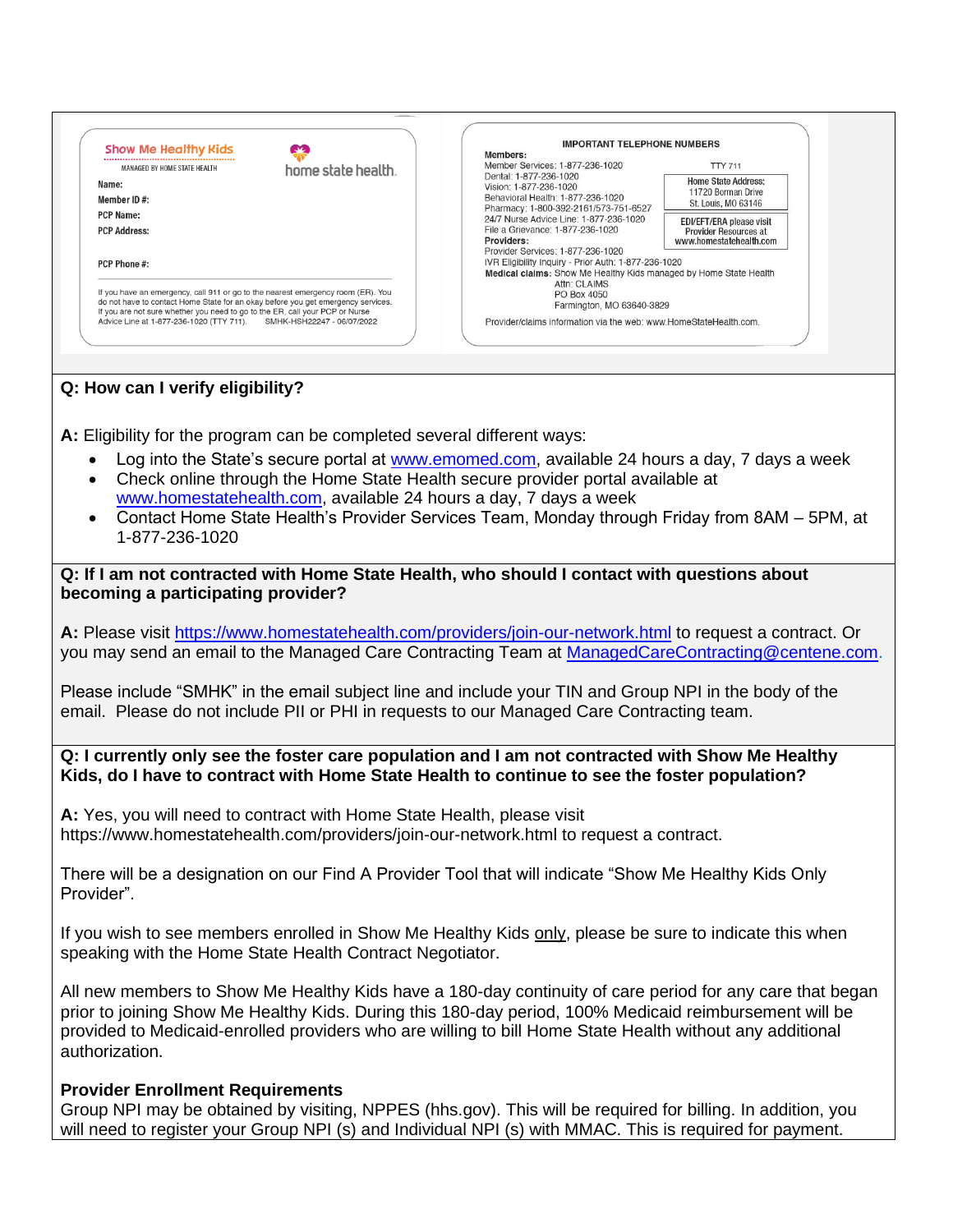

**A:** Eligibility for the program can be completed several different ways:

- Log into the State's secure portal at [www.emomed.com,](http://www.emomed.com/) available 24 hours a day, 7 days a week
- Check online through the Home State Health secure provider portal available at [www.homestatehealth.com,](http://www.homestatehealth.com/) available 24 hours a day, 7 days a week
- Contact Home State Health's Provider Services Team, Monday through Friday from 8AM 5PM, at 1-877-236-1020

**Q: If I am not contracted with Home State Health, who should I contact with questions about becoming a participating provider?**

**A:** Please visit<https://www.homestatehealth.com/providers/join-our-network.html> to request a contract. Or you may send an email to the Managed Care Contracting Team at [ManagedCareContracting@centene.com.](mailto:ManagedCareContracting@centene.com)

Please include "SMHK" in the email subject line and include your TIN and Group NPI in the body of the email. Please do not include PII or PHI in requests to our Managed Care Contracting team.

#### **Q: I currently only see the foster care population and I am not contracted with Show Me Healthy Kids, do I have to contract with Home State Health to continue to see the foster population?**

**A:** Yes, you will need to contract with Home State Health, please visit https://www.homestatehealth.com/providers/join-our-network.html to request a contract.

There will be a designation on our Find A Provider Tool that will indicate "Show Me Healthy Kids Only Provider".

If you wish to see members enrolled in Show Me Healthy Kids only, please be sure to indicate this when speaking with the Home State Health Contract Negotiator.

All new members to Show Me Healthy Kids have a 180-day continuity of care period for any care that began prior to joining Show Me Healthy Kids. During this 180-day period, 100% Medicaid reimbursement will be provided to Medicaid-enrolled providers who are willing to bill Home State Health without any additional authorization.

# **Provider Enrollment Requirements**

Group NPI may be obtained by visiting, NPPES (hhs.gov). This will be required for billing. In addition, you will need to register your Group NPI (s) and Individual NPI (s) with MMAC. This is required for payment.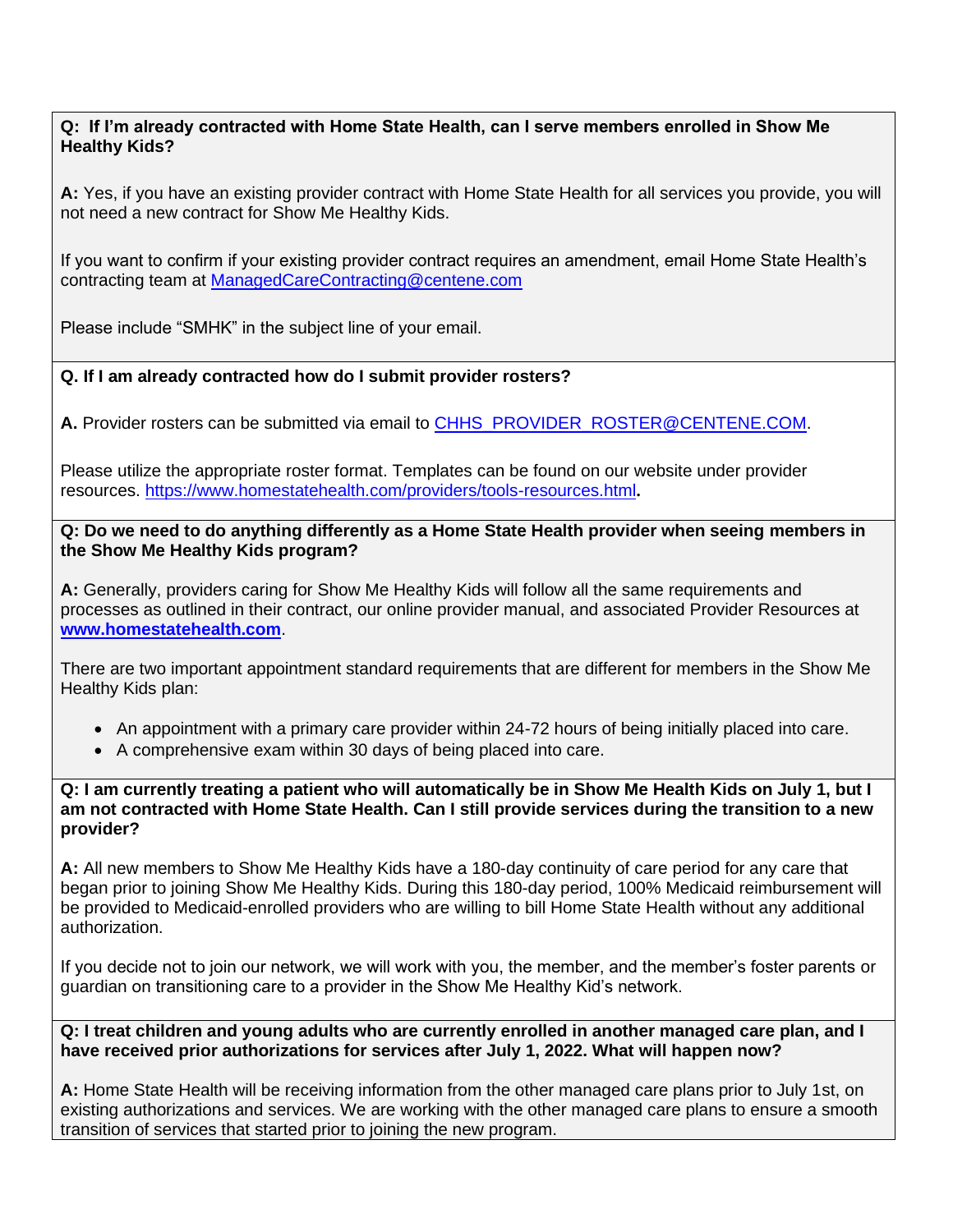#### **Q: If I'm already contracted with Home State Health, can I serve members enrolled in Show Me Healthy Kids?**

**A:** Yes, if you have an existing provider contract with Home State Health for all services you provide, you will not need a new contract for Show Me Healthy Kids.

If you want to confirm if your existing provider contract requires an amendment, email Home State Health's contracting team at [ManagedCareContracting@centene.com](mailto:ManagedCareContracting@centene.com)

Please include "SMHK" in the subject line of your email.

#### **Q. If I am already contracted how do I submit provider rosters?**

**A.** Provider rosters can be submitted via email to [CHHS\\_PROVIDER\\_ROSTER@CENTENE.COM.](mailto:CHHS_PROVIDER_ROSTER@CENTENE.COM)

Please utilize the appropriate roster format. Templates can be found on our website under provider resources.<https://www.homestatehealth.com/providers/tools-resources.html>**.** 

**Q: Do we need to do anything differently as a Home State Health provider when seeing members in the Show Me Healthy Kids program?**

**A:** Generally, providers caring for Show Me Healthy Kids will follow all the same requirements and processes as outlined in their contract, our online provider manual, and associated Provider Resources at **[www.homestatehealth.com](http://www.homestatehealth.com/)**.

There are two important appointment standard requirements that are different for members in the Show Me Healthy Kids plan:

- An appointment with a primary care provider within 24-72 hours of being initially placed into care.
- A comprehensive exam within 30 days of being placed into care.

**Q: I am currently treating a patient who will automatically be in Show Me Health Kids on July 1, but I am not contracted with Home State Health. Can I still provide services during the transition to a new provider?**

**A:** All new members to Show Me Healthy Kids have a 180-day continuity of care period for any care that began prior to joining Show Me Healthy Kids. During this 180-day period, 100% Medicaid reimbursement will be provided to Medicaid-enrolled providers who are willing to bill Home State Health without any additional authorization.

If you decide not to join our network, we will work with you, the member, and the member's foster parents or guardian on transitioning care to a provider in the Show Me Healthy Kid's network.

**Q: I treat children and young adults who are currently enrolled in another managed care plan, and I have received prior authorizations for services after July 1, 2022. What will happen now?**

**A:** Home State Health will be receiving information from the other managed care plans prior to July 1st, on existing authorizations and services. We are working with the other managed care plans to ensure a smooth transition of services that started prior to joining the new program.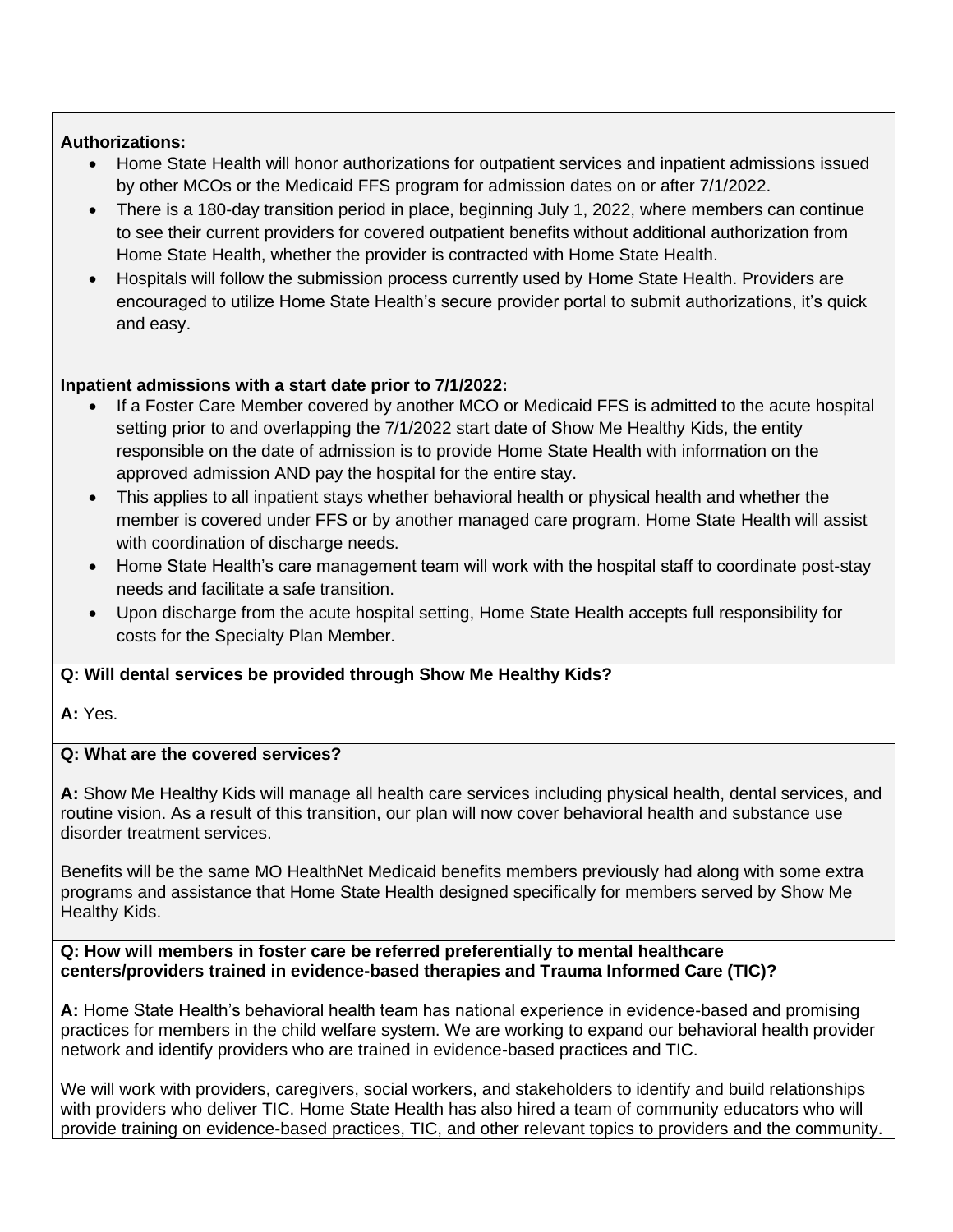# **Authorizations:**

- Home State Health will honor authorizations for outpatient services and inpatient admissions issued by other MCOs or the Medicaid FFS program for admission dates on or after 7/1/2022.
- There is a 180-day transition period in place, beginning July 1, 2022, where members can continue to see their current providers for covered outpatient benefits without additional authorization from Home State Health, whether the provider is contracted with Home State Health.
- Hospitals will follow the submission process currently used by Home State Health. Providers are encouraged to utilize Home State Health's secure provider portal to submit authorizations, it's quick and easy.

# **Inpatient admissions with a start date prior to 7/1/2022:**

- If a Foster Care Member covered by another MCO or Medicaid FFS is admitted to the acute hospital setting prior to and overlapping the 7/1/2022 start date of Show Me Healthy Kids, the entity responsible on the date of admission is to provide Home State Health with information on the approved admission AND pay the hospital for the entire stay.
- This applies to all inpatient stays whether behavioral health or physical health and whether the member is covered under FFS or by another managed care program. Home State Health will assist with coordination of discharge needs.
- Home State Health's care management team will work with the hospital staff to coordinate post-stay needs and facilitate a safe transition.
- Upon discharge from the acute hospital setting, Home State Health accepts full responsibility for costs for the Specialty Plan Member.

# **Q: Will dental services be provided through Show Me Healthy Kids?**

**A:** Yes.

# **Q: What are the covered services?**

**A:** Show Me Healthy Kids will manage all health care services including physical health, dental services, and routine vision. As a result of this transition, our plan will now cover behavioral health and substance use disorder treatment services.

Benefits will be the same MO HealthNet Medicaid benefits members previously had along with some extra programs and assistance that Home State Health designed specifically for members served by Show Me Healthy Kids.

**Q: How will members in foster care be referred preferentially to mental healthcare centers/providers trained in evidence-based therapies and Trauma Informed Care (TIC)?**

**A:** Home State Health's behavioral health team has national experience in evidence-based and promising practices for members in the child welfare system. We are working to expand our behavioral health provider network and identify providers who are trained in evidence-based practices and TIC.

We will work with providers, caregivers, social workers, and stakeholders to identify and build relationships with providers who deliver TIC. Home State Health has also hired a team of community educators who will provide training on evidence-based practices, TIC, and other relevant topics to providers and the community.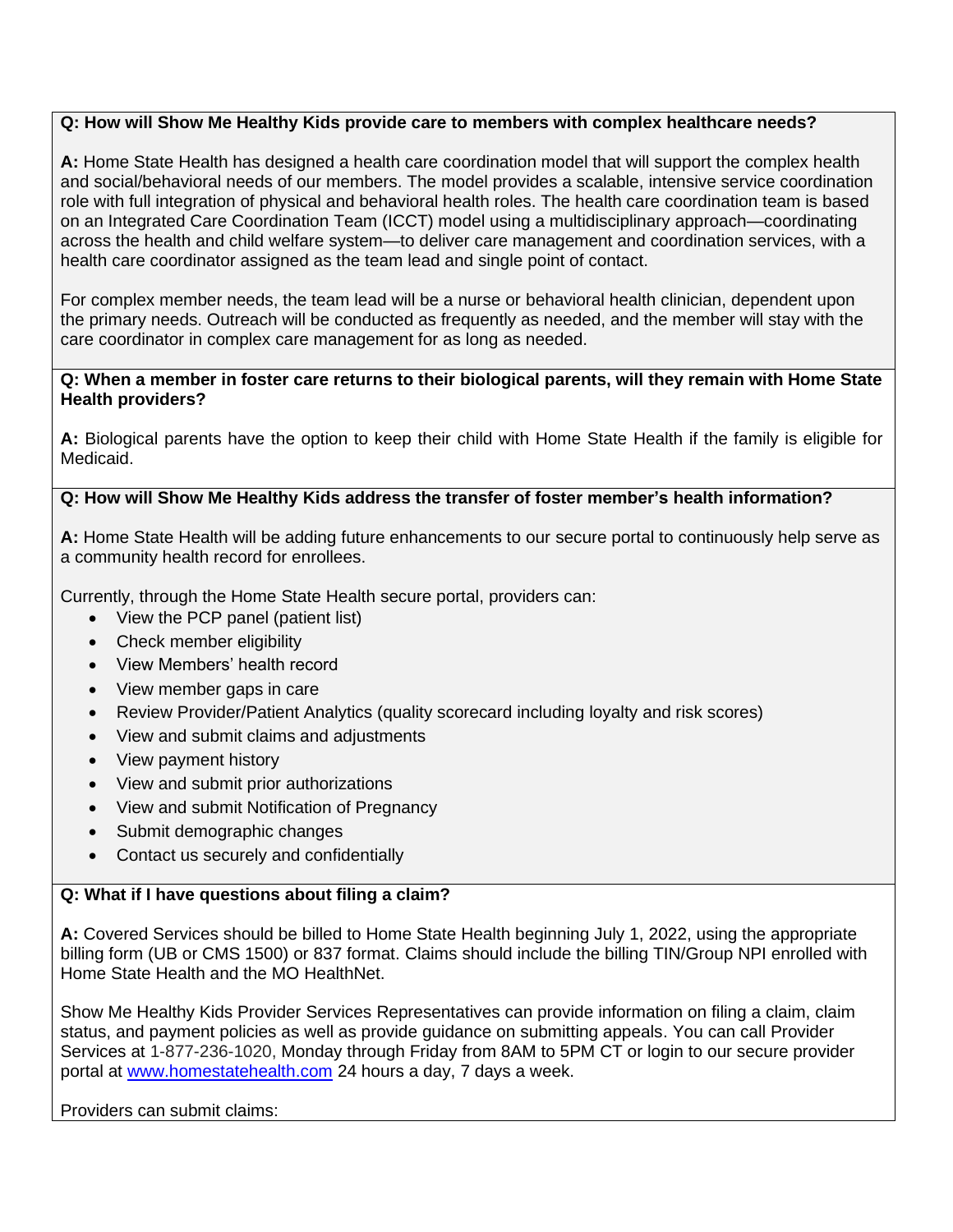### **Q: How will Show Me Healthy Kids provide care to members with complex healthcare needs?**

**A:** Home State Health has designed a health care coordination model that will support the complex health and social/behavioral needs of our members. The model provides a scalable, intensive service coordination role with full integration of physical and behavioral health roles. The health care coordination team is based on an Integrated Care Coordination Team (ICCT) model using a multidisciplinary approach—coordinating across the health and child welfare system—to deliver care management and coordination services, with a health care coordinator assigned as the team lead and single point of contact.

For complex member needs, the team lead will be a nurse or behavioral health clinician, dependent upon the primary needs. Outreach will be conducted as frequently as needed, and the member will stay with the care coordinator in complex care management for as long as needed.

#### **Q: When a member in foster care returns to their biological parents, will they remain with Home State Health providers?**

**A:** Biological parents have the option to keep their child with Home State Health if the family is eligible for Medicaid.

#### **Q: How will Show Me Healthy Kids address the transfer of foster member's health information?**

**A:** Home State Health will be adding future enhancements to our secure portal to continuously help serve as a community health record for enrollees.

Currently, through the Home State Health secure portal, providers can:

- View the PCP panel (patient list)
- Check member eligibility
- View Members' health record
- View member gaps in care
- Review Provider/Patient Analytics (quality scorecard including loyalty and risk scores)
- View and submit claims and adjustments
- View payment history
- View and submit prior authorizations
- View and submit Notification of Pregnancy
- Submit demographic changes
- Contact us securely and confidentially

#### **Q: What if I have questions about filing a claim?**

**A:** Covered Services should be billed to Home State Health beginning July 1, 2022, using the appropriate billing form (UB or CMS 1500) or 837 format. Claims should include the billing TIN/Group NPI enrolled with Home State Health and the MO HealthNet.

Show Me Healthy Kids Provider Services Representatives can provide information on filing a claim, claim status, and payment policies as well as provide guidance on submitting appeals. You can call Provider Services at 1-877-236-1020, Monday through Friday from 8AM to 5PM CT or login to our secure provider portal at [www.homestatehealth.com](http://www.homestatehealth.com/) 24 hours a day, 7 days a week.

#### Providers can submit claims: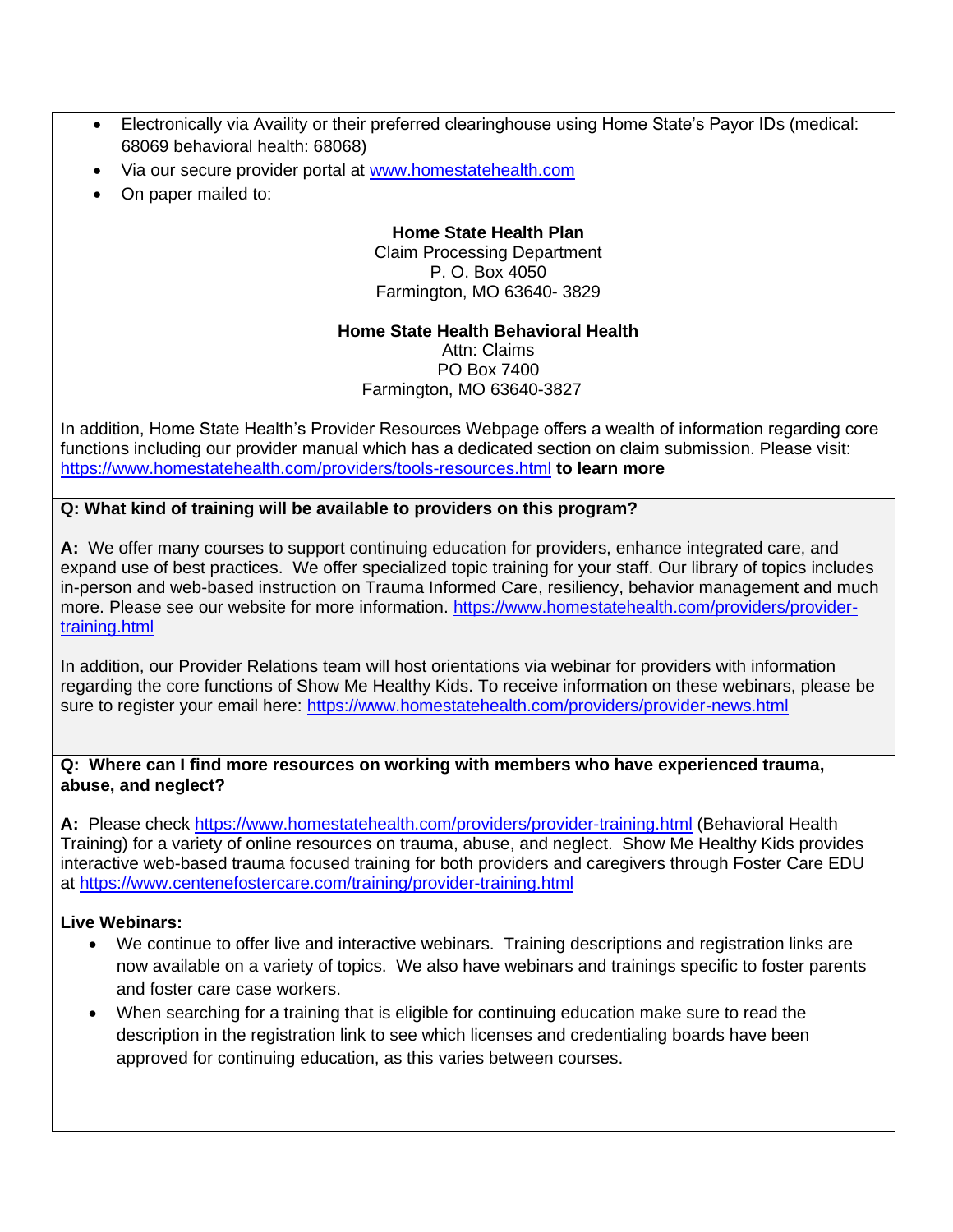- Electronically via Availity or their preferred clearinghouse using Home State's Payor IDs (medical: 68069 behavioral health: 68068)
- Via our secure provider portal at [www.homestatehealth.com](http://www.homestatehealth.com/)
- On paper mailed to:

#### **Home State Health Plan** Claim Processing Department P. O. Box 4050 Farmington, MO 63640- 3829

#### **Home State Health Behavioral Health**

Attn: Claims PO Box 7400 Farmington, MO 63640-3827

In addition, Home State Health's Provider Resources Webpage offers a wealth of information regarding core functions including our provider manual which has a dedicated section on claim submission. Please visit: <https://www.homestatehealth.com/providers/tools-resources.html> **to learn more**

## **Q: What kind of training will be available to providers on this program?**

**A:** We offer many courses to support continuing education for providers, enhance integrated care, and expand use of best practices. We offer specialized topic training for your staff. Our library of topics includes in-person and web-based instruction on Trauma Informed Care, resiliency, behavior management and much more. Please see our website for more information. [https://www.homestatehealth.com/providers/provider](https://www.homestatehealth.com/providers/provider-training.html)[training.html](https://www.homestatehealth.com/providers/provider-training.html)

In addition, our Provider Relations team will host orientations via webinar for providers with information regarding the core functions of Show Me Healthy Kids. To receive information on these webinars, please be sure to register your email here:<https://www.homestatehealth.com/providers/provider-news.html>

#### **Q: Where can I find more resources on working with members who have experienced trauma, abuse, and neglect?**

**A:** Please check<https://www.homestatehealth.com/providers/provider-training.html> (Behavioral Health Training) for a variety of online resources on trauma, abuse, and neglect. Show Me Healthy Kids provides interactive web-based trauma focused training for both providers and caregivers through Foster Care EDU at<https://www.centenefostercare.com/training/provider-training.html>

#### **Live Webinars:**

- We continue to offer live and interactive webinars. Training descriptions and registration links are now available on a variety of topics. We also have webinars and trainings specific to foster parents and foster care case workers.
- When searching for a training that is eligible for continuing education make sure to read the description in the registration link to see which licenses and credentialing boards have been approved for continuing education, as this varies between courses.